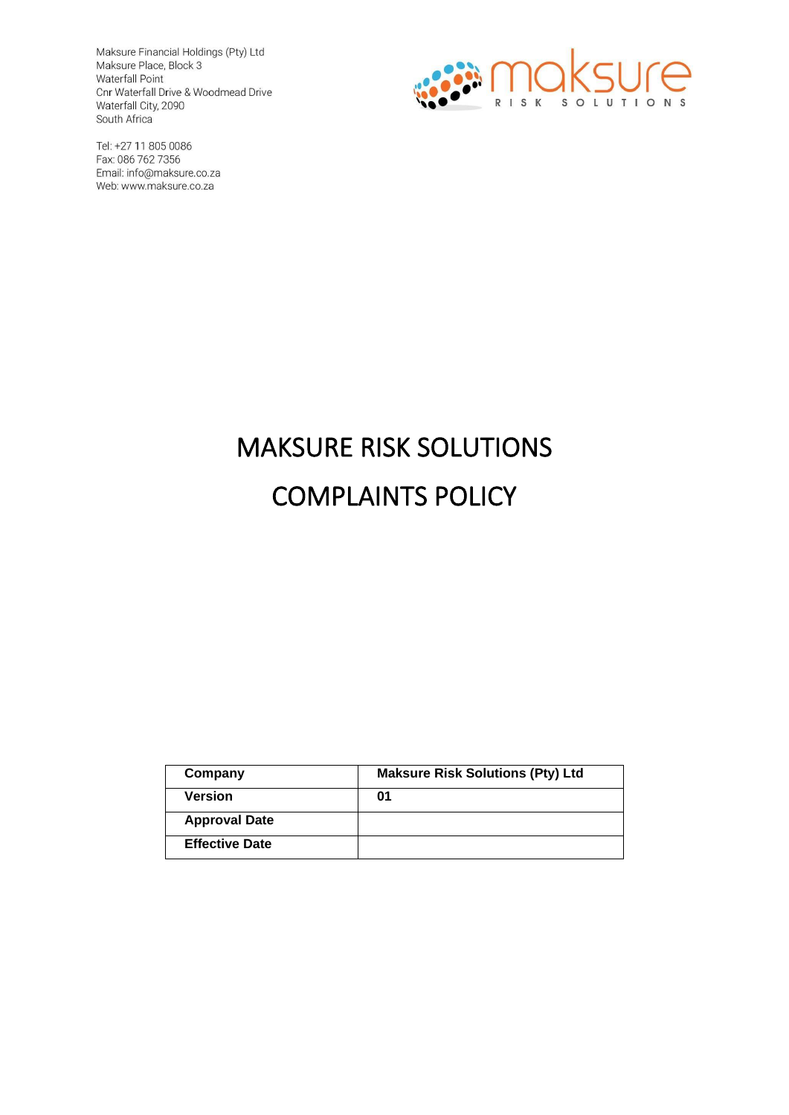Maksure Financial Holdings (Pty) Ltd Maksure Place, Block 3 Waterfall Point Cnr Waterfall Drive & Woodmead Drive Waterfall City, 2090

South Africa Tel: +27 11 805 0086 Fax: 086 762 7356 Email: info@maksure.co.za

Web: www.maksure.co.za



# MAKSURE RISK SOLUTIONS COMPLAINTS POLICY

| Company               | <b>Maksure Risk Solutions (Pty) Ltd</b> |
|-----------------------|-----------------------------------------|
| <b>Version</b>        | 01                                      |
| <b>Approval Date</b>  |                                         |
| <b>Effective Date</b> |                                         |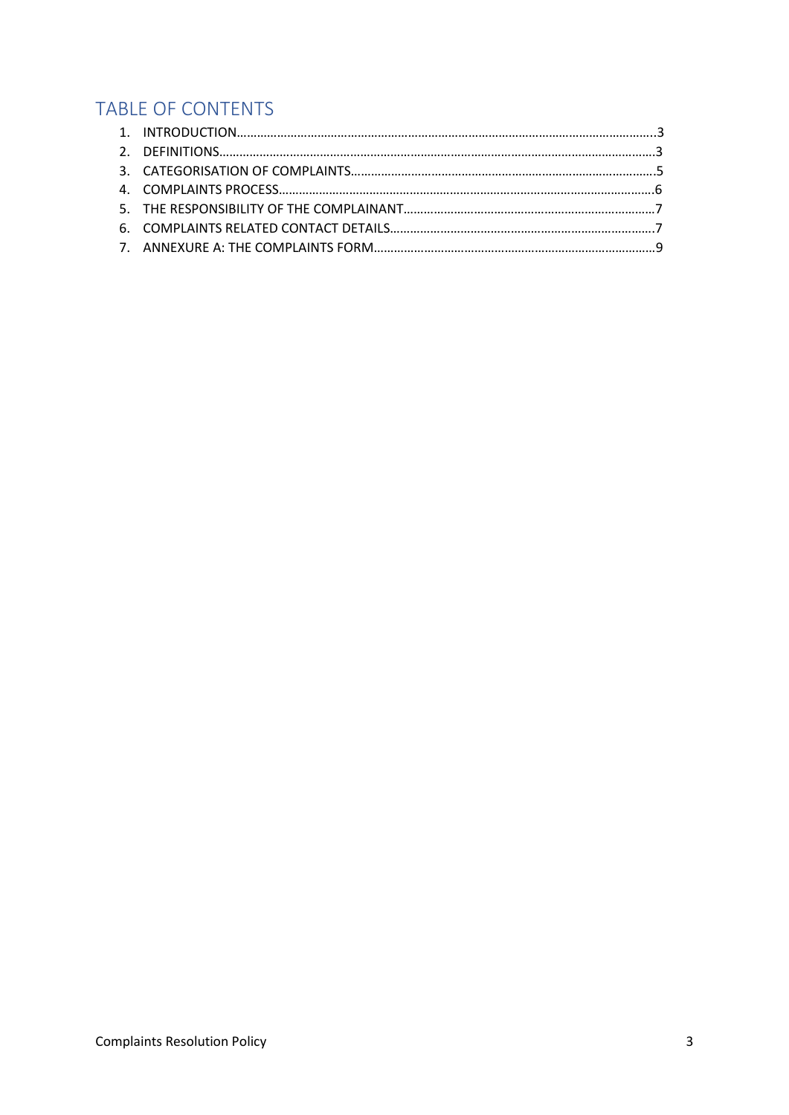# TABLE OF CONTENTS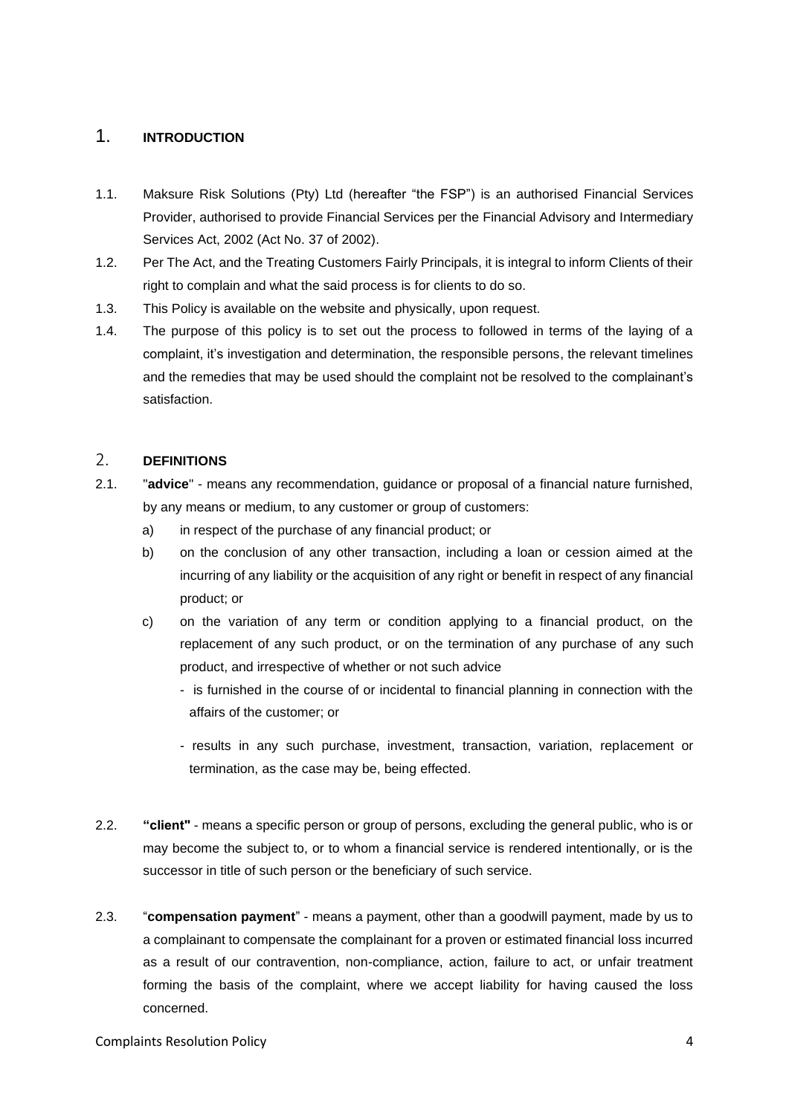# 1. **INTRODUCTION**

- 1.1. Maksure Risk Solutions (Pty) Ltd (hereafter "the FSP") is an authorised Financial Services Provider, authorised to provide Financial Services per the Financial Advisory and Intermediary Services Act, 2002 (Act No. 37 of 2002).
- 1.2. Per The Act, and the Treating Customers Fairly Principals, it is integral to inform Clients of their right to complain and what the said process is for clients to do so.
- 1.3. This Policy is available on the website and physically, upon request.
- 1.4. The purpose of this policy is to set out the process to followed in terms of the laying of a complaint, it's investigation and determination, the responsible persons, the relevant timelines and the remedies that may be used should the complaint not be resolved to the complainant's satisfaction.

#### 2. **DEFINITIONS**

- 2.1. "**advice**" means any recommendation, guidance or proposal of a financial nature furnished, by any means or medium, to any customer or group of customers:
	- a) in respect of the purchase of any financial product; or
	- b) on the conclusion of any other transaction, including a loan or cession aimed at the incurring of any liability or the acquisition of any right or benefit in respect of any financial product; or
	- c) on the variation of any term or condition applying to a financial product, on the replacement of any such product, or on the termination of any purchase of any such product, and irrespective of whether or not such advice
		- is furnished in the course of or incidental to financial planning in connection with the affairs of the customer; or
		- results in any such purchase, investment, transaction, variation, replacement or termination, as the case may be, being effected.
- 2.2. **"client"** means a specific person or group of persons, excluding the general public, who is or may become the subject to, or to whom a financial service is rendered intentionally, or is the successor in title of such person or the beneficiary of such service.
- 2.3. "**compensation payment**" means a payment, other than a goodwill payment, made by us to a complainant to compensate the complainant for a proven or estimated financial loss incurred as a result of our contravention, non-compliance, action, failure to act, or unfair treatment forming the basis of the complaint, where we accept liability for having caused the loss concerned.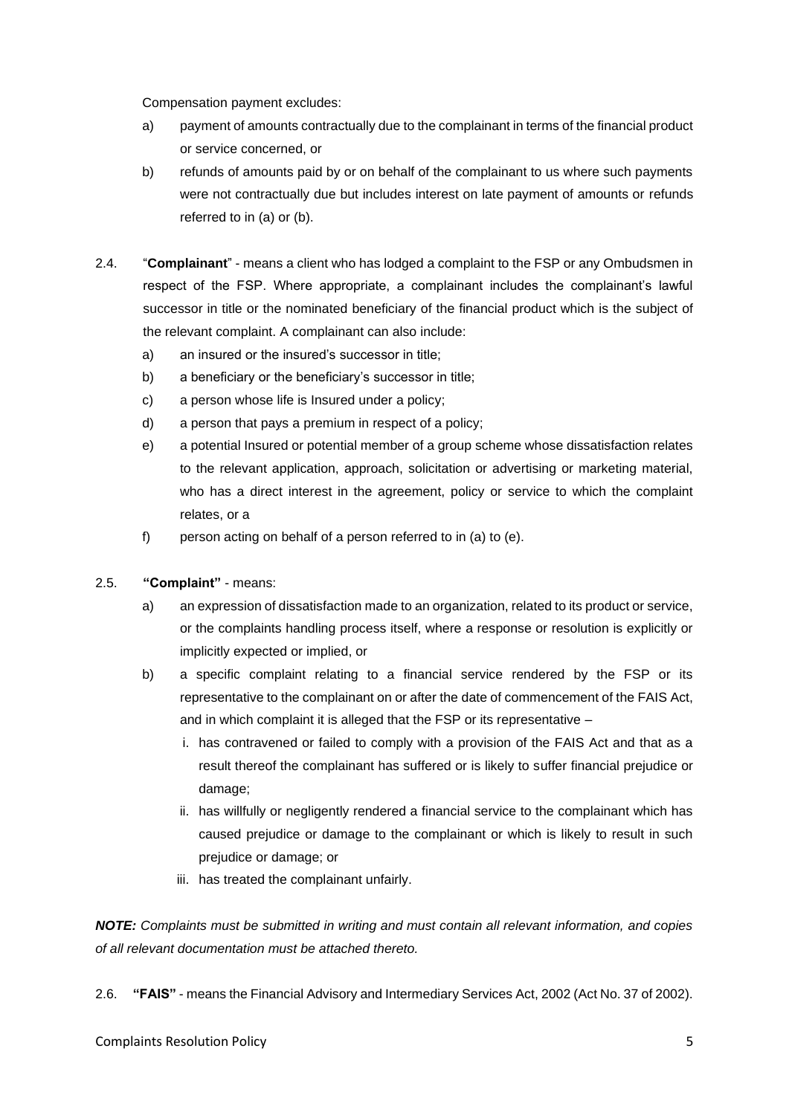Compensation payment excludes:

- a) payment of amounts contractually due to the complainant in terms of the financial product or service concerned, or
- b) refunds of amounts paid by or on behalf of the complainant to us where such payments were not contractually due but includes interest on late payment of amounts or refunds referred to in (a) or (b).
- 2.4. "**Complainant**" means a client who has lodged a complaint to the FSP or any Ombudsmen in respect of the FSP. Where appropriate, a complainant includes the complainant's lawful successor in title or the nominated beneficiary of the financial product which is the subject of the relevant complaint. A complainant can also include:
	- a) an insured or the insured's successor in title;
	- b) a beneficiary or the beneficiary's successor in title;
	- c) a person whose life is Insured under a policy;
	- d) a person that pays a premium in respect of a policy;
	- e) a potential Insured or potential member of a group scheme whose dissatisfaction relates to the relevant application, approach, solicitation or advertising or marketing material, who has a direct interest in the agreement, policy or service to which the complaint relates, or a
	- f) person acting on behalf of a person referred to in (a) to (e).

#### 2.5. **"Complaint"** - means:

- a) an expression of dissatisfaction made to an organization, related to its product or service, or the complaints handling process itself, where a response or resolution is explicitly or implicitly expected or implied, or
- b) a specific complaint relating to a financial service rendered by the FSP or its representative to the complainant on or after the date of commencement of the FAIS Act, and in which complaint it is alleged that the FSP or its representative –
	- i. has contravened or failed to comply with a provision of the FAIS Act and that as a result thereof the complainant has suffered or is likely to suffer financial prejudice or damage;
	- ii. has willfully or negligently rendered a financial service to the complainant which has caused prejudice or damage to the complainant or which is likely to result in such prejudice or damage; or
	- iii. has treated the complainant unfairly.

*NOTE: Complaints must be submitted in writing and must contain all relevant information, and copies of all relevant documentation must be attached thereto.* 

2.6. **"FAIS"** - means the Financial Advisory and Intermediary Services Act, 2002 (Act No. 37 of 2002).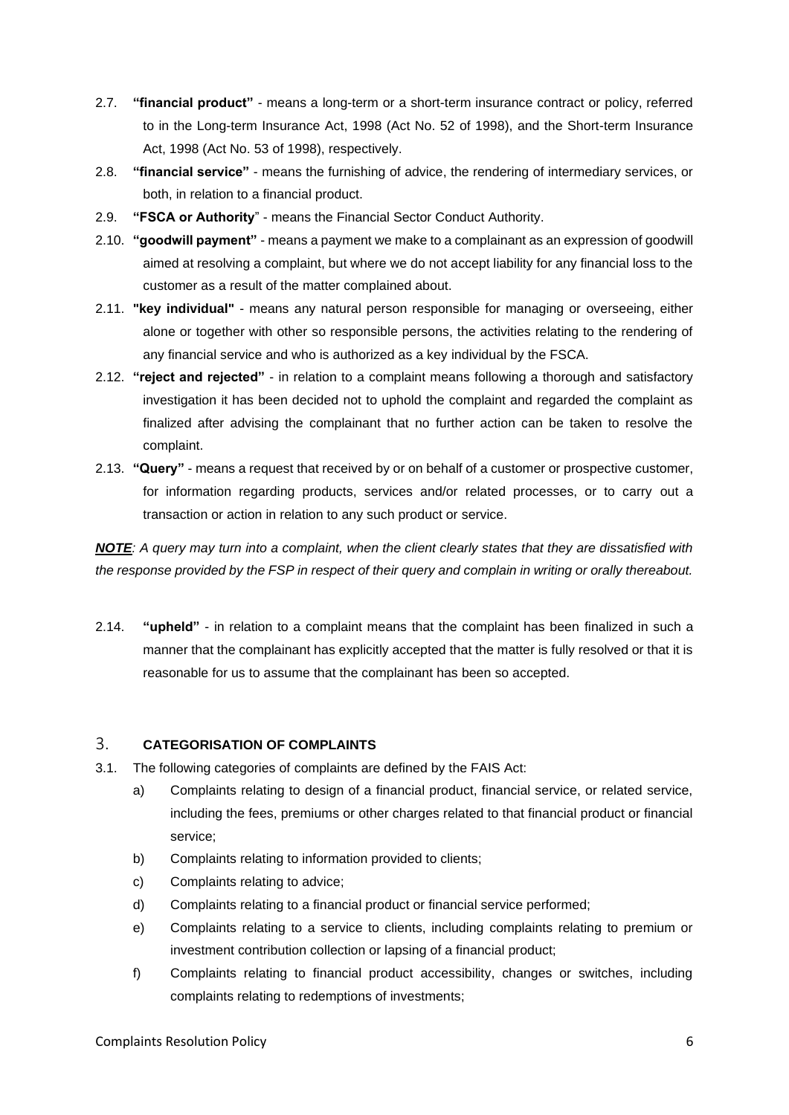- 2.7. **"financial product"**  means a long-term or a short-term insurance contract or policy, referred to in the Long-term Insurance Act, 1998 (Act No. 52 of 1998), and the Short-term Insurance Act, 1998 (Act No. 53 of 1998), respectively.
- 2.8. **"financial service"** means the furnishing of advice, the rendering of intermediary services, or both, in relation to a financial product.
- 2.9. **"FSCA or Authority**" means the Financial Sector Conduct Authority.
- 2.10. **"goodwill payment"**  means a payment we make to a complainant as an expression of goodwill aimed at resolving a complaint, but where we do not accept liability for any financial loss to the customer as a result of the matter complained about.
- 2.11. **"key individual"**  means any natural person responsible for managing or overseeing, either alone or together with other so responsible persons, the activities relating to the rendering of any financial service and who is authorized as a key individual by the FSCA.
- 2.12. **"reject and rejected"**  in relation to a complaint means following a thorough and satisfactory investigation it has been decided not to uphold the complaint and regarded the complaint as finalized after advising the complainant that no further action can be taken to resolve the complaint.
- 2.13. **"Query"** means a request that received by or on behalf of a customer or prospective customer, for information regarding products, services and/or related processes, or to carry out a transaction or action in relation to any such product or service.

*NOTE: A query may turn into a complaint, when the client clearly states that they are dissatisfied with the response provided by the FSP in respect of their query and complain in writing or orally thereabout.* 

2.14. **"upheld"** - in relation to a complaint means that the complaint has been finalized in such a manner that the complainant has explicitly accepted that the matter is fully resolved or that it is reasonable for us to assume that the complainant has been so accepted.

#### 3. **CATEGORISATION OF COMPLAINTS**

- 3.1. The following categories of complaints are defined by the FAIS Act:
	- a) Complaints relating to design of a financial product, financial service, or related service, including the fees, premiums or other charges related to that financial product or financial service;
	- b) Complaints relating to information provided to clients;
	- c) Complaints relating to advice;
	- d) Complaints relating to a financial product or financial service performed;
	- e) Complaints relating to a service to clients, including complaints relating to premium or investment contribution collection or lapsing of a financial product;
	- f) Complaints relating to financial product accessibility, changes or switches, including complaints relating to redemptions of investments;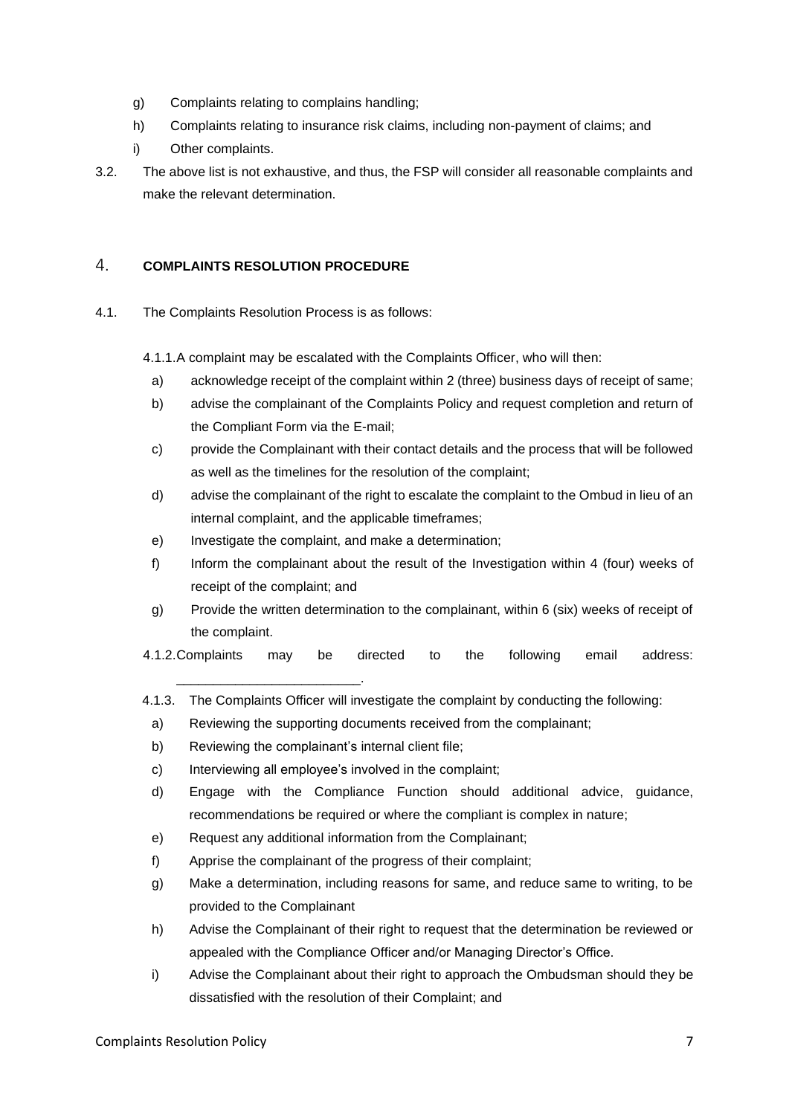- g) Complaints relating to complains handling;
- h) Complaints relating to insurance risk claims, including non-payment of claims; and
- i) Other complaints.
- 3.2. The above list is not exhaustive, and thus, the FSP will consider all reasonable complaints and make the relevant determination.

#### 4. **COMPLAINTS RESOLUTION PROCEDURE**

4.1. The Complaints Resolution Process is as follows:

4.1.1.A complaint may be escalated with the Complaints Officer, who will then:

- a) acknowledge receipt of the complaint within 2 (three) business days of receipt of same;
- b) advise the complainant of the Complaints Policy and request completion and return of the Compliant Form via the E-mail;
- c) provide the Complainant with their contact details and the process that will be followed as well as the timelines for the resolution of the complaint;
- d) advise the complainant of the right to escalate the complaint to the Ombud in lieu of an internal complaint, and the applicable timeframes;
- e) Investigate the complaint, and make a determination;
- f) Inform the complainant about the result of the Investigation within 4 (four) weeks of receipt of the complaint; and
- g) Provide the written determination to the complainant, within 6 (six) weeks of receipt of the complaint.
- 4.1.2.Complaints may be directed to the following email address:
- 4.1.3. The Complaints Officer will investigate the complaint by conducting the following:
	- a) Reviewing the supporting documents received from the complainant;
	- b) Reviewing the complainant's internal client file;

\_\_\_\_\_\_\_\_\_\_\_\_\_\_\_\_\_\_\_\_\_\_\_\_\_.

- c) Interviewing all employee's involved in the complaint;
- d) Engage with the Compliance Function should additional advice, guidance, recommendations be required or where the compliant is complex in nature;
- e) Request any additional information from the Complainant;
- f) Apprise the complainant of the progress of their complaint;
- g) Make a determination, including reasons for same, and reduce same to writing, to be provided to the Complainant
- h) Advise the Complainant of their right to request that the determination be reviewed or appealed with the Compliance Officer and/or Managing Director's Office.
- i) Advise the Complainant about their right to approach the Ombudsman should they be dissatisfied with the resolution of their Complaint; and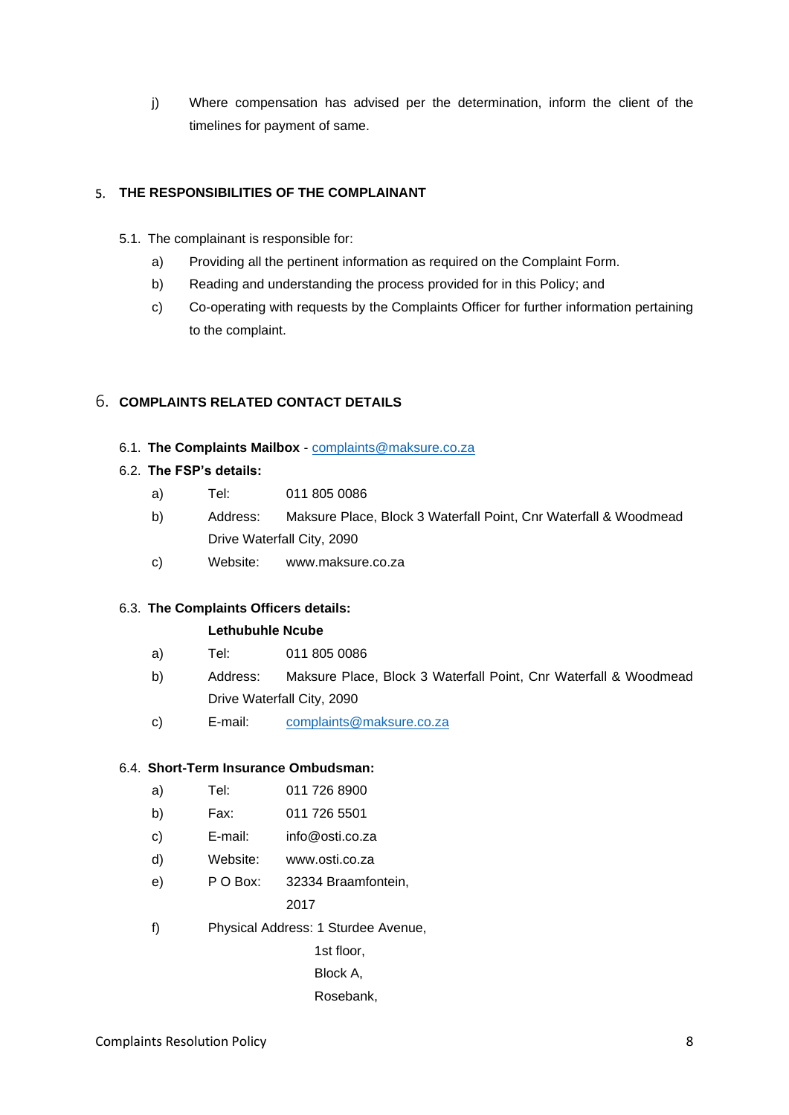j) Where compensation has advised per the determination, inform the client of the timelines for payment of same.

#### 5. **THE RESPONSIBILITIES OF THE COMPLAINANT**

- 5.1. The complainant is responsible for:
	- a) Providing all the pertinent information as required on the Complaint Form.
	- b) Reading and understanding the process provided for in this Policy; and
	- c) Co-operating with requests by the Complaints Officer for further information pertaining to the complaint.

#### 6. **COMPLAINTS RELATED CONTACT DETAILS**

6.1. **The Complaints Mailbox** - [complaints@maksure.co.za](mailto:complaints@maksure.co.za)

#### 6.2. **The FSP's details:**

- a) Tel: 011 805 0086
- b) Address: Maksure Place, Block 3 Waterfall Point, Cnr Waterfall & Woodmead Drive Waterfall City, 2090
- c) Website: www.maksure.co.za

#### 6.3. **The Complaints Officers details:**

#### **Lethubuhle Ncube**

- a) Tel: 011 805 0086
- b) Address: Maksure Place, Block 3 Waterfall Point, Cnr Waterfall & Woodmead Drive Waterfall City, 2090
- c) E-mail: [complaints@maksure.co.za](mailto:complaints@maksure.co.za)

#### 6.4. **Short-Term Insurance Ombudsman:**

| a) | Tel:     | 011 726 8900                        |
|----|----------|-------------------------------------|
| b) | Fax:     | 011 726 5501                        |
| c) | E-mail:  | info@osti.co.za                     |
| d) | Website: | www.osti.co.za                      |
| e) | P O Box: | 32334 Braamfontein,                 |
|    |          | 2017                                |
| f) |          | Physical Address: 1 Sturdee Avenue, |
|    |          | 1st floor.                          |

rioor, Block A,

Rosebank,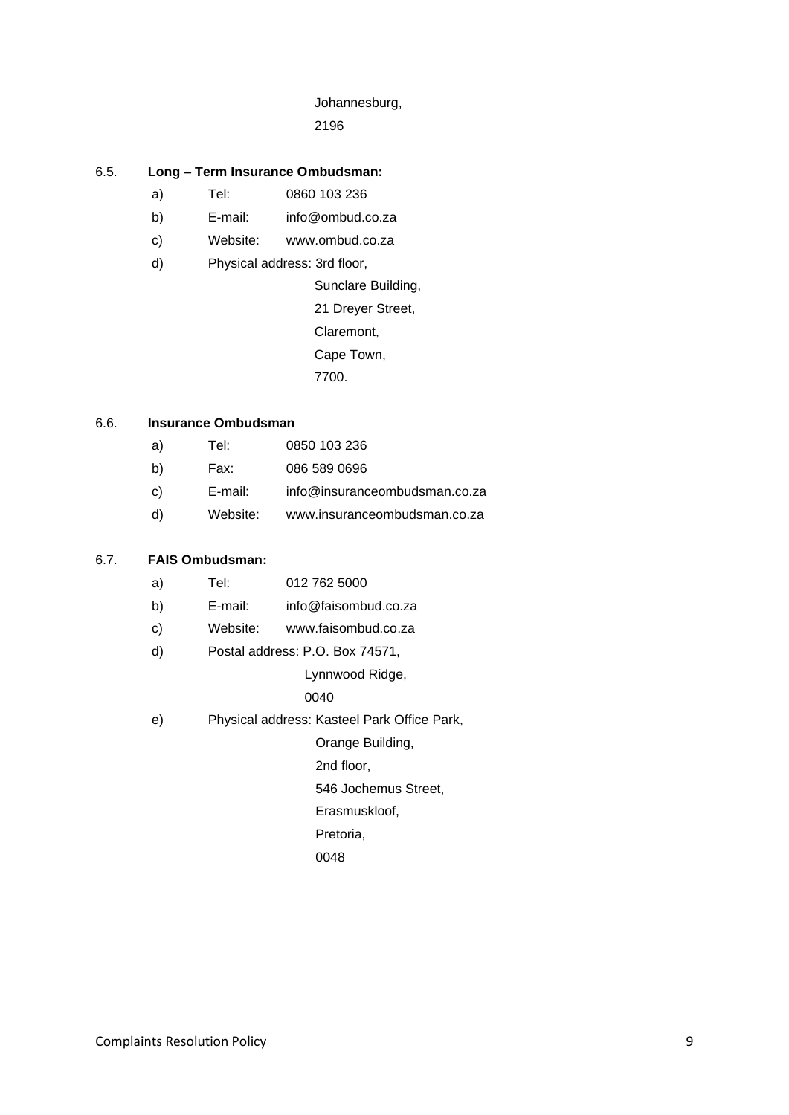# Johannesburg,

2196

#### 6.5. **Long – Term Insurance Ombudsman:**

- a) Tel: 0860 103 236
- b) E-mail: info@ombud.co.za
- c) Website: www.ombud.co.za
- d) Physical address: 3rd floor,

 Sunclare Building, 21 Dreyer Street,

Claremont,

Cape Town,

7700.

#### 6.6. **Insurance Ombudsman**

| a)           | Tel:     | 0850 103 236                  |
|--------------|----------|-------------------------------|
| $\mathsf{b}$ | Fax:     | 086 589 0696                  |
| C)           | E-mail:  | info@insuranceombudsman.co.za |
| d)           | Website: | www.insuranceombudsman.co.za  |

# 6.7. **FAIS Ombudsman:**

| a)           | Tel:    | 012 762 5000                                |
|--------------|---------|---------------------------------------------|
| b)           | E-mail: | info@faisombud.co.za                        |
| $\mathbf{c}$ |         | Website: www.faisombud.co.za                |
| d)           |         | Postal address: P.O. Box 74571,             |
|              |         | Lynnwood Ridge,                             |
|              |         | 0040                                        |
| e)           |         | Physical address: Kasteel Park Office Park, |
|              |         | Orange Building,                            |
|              |         | 2nd floor,                                  |
|              |         | 546 Jochemus Street,                        |
|              |         | Erasmuskloof,                               |
|              |         | Pretoria,                                   |
|              |         | 0048                                        |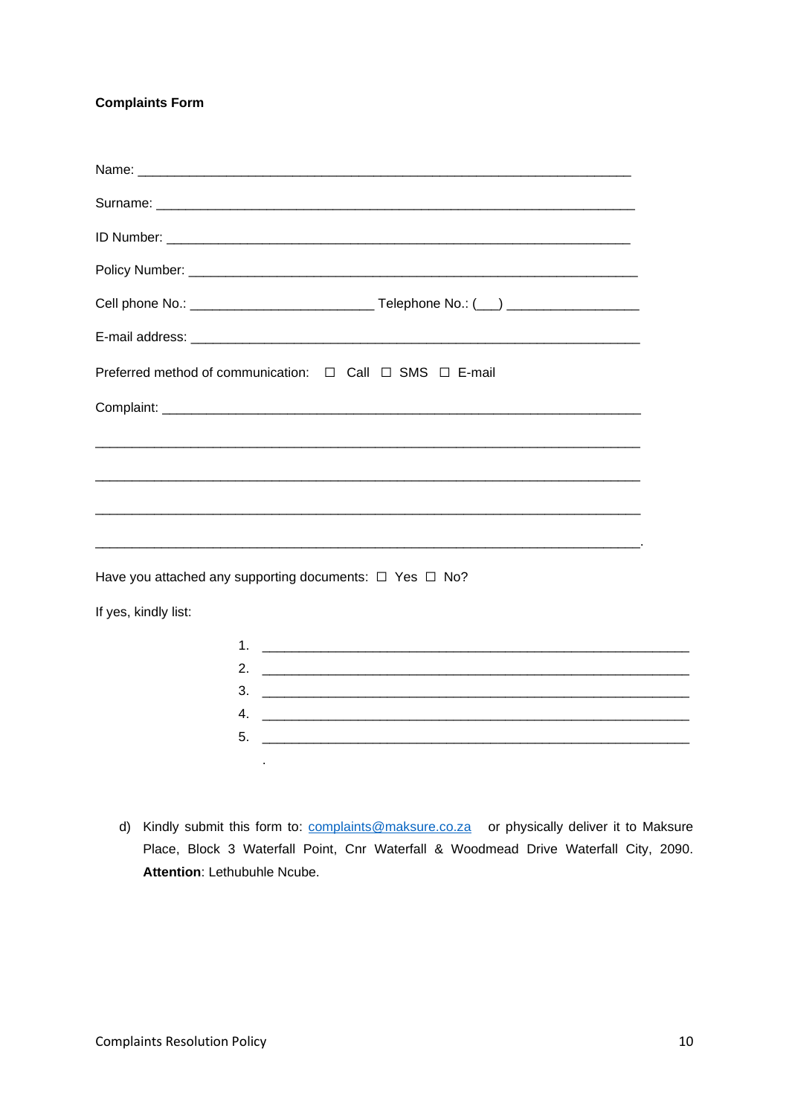# **Complaints Form**

|                      | Cell phone No.: __________________________________Telephone No.: (___) _________________                                                                                                                                                                                                                               |
|----------------------|------------------------------------------------------------------------------------------------------------------------------------------------------------------------------------------------------------------------------------------------------------------------------------------------------------------------|
|                      |                                                                                                                                                                                                                                                                                                                        |
|                      | Preferred method of communication: □ Call □ SMS □ E-mail                                                                                                                                                                                                                                                               |
|                      |                                                                                                                                                                                                                                                                                                                        |
|                      |                                                                                                                                                                                                                                                                                                                        |
|                      |                                                                                                                                                                                                                                                                                                                        |
|                      |                                                                                                                                                                                                                                                                                                                        |
|                      |                                                                                                                                                                                                                                                                                                                        |
|                      |                                                                                                                                                                                                                                                                                                                        |
|                      | Have you attached any supporting documents: $\Box$ Yes $\Box$ No?                                                                                                                                                                                                                                                      |
| If yes, kindly list: |                                                                                                                                                                                                                                                                                                                        |
|                      |                                                                                                                                                                                                                                                                                                                        |
|                      |                                                                                                                                                                                                                                                                                                                        |
|                      | $3.$ $\frac{1}{2}$ $\frac{1}{2}$ $\frac{1}{2}$ $\frac{1}{2}$ $\frac{1}{2}$ $\frac{1}{2}$ $\frac{1}{2}$ $\frac{1}{2}$ $\frac{1}{2}$ $\frac{1}{2}$ $\frac{1}{2}$ $\frac{1}{2}$ $\frac{1}{2}$ $\frac{1}{2}$ $\frac{1}{2}$ $\frac{1}{2}$ $\frac{1}{2}$ $\frac{1}{2}$ $\frac{1}{2}$ $\frac{1}{2}$ $\frac{1}{2}$ $\frac{1}{$ |
|                      | 5.                                                                                                                                                                                                                                                                                                                     |
|                      |                                                                                                                                                                                                                                                                                                                        |

d) Kindly submit this form to: complaints@maksure.co.za or physically deliver it to Maksure Place, Block 3 Waterfall Point, Cnr Waterfall & Woodmead Drive Waterfall City, 2090. Attention: Lethubuhle Ncube.